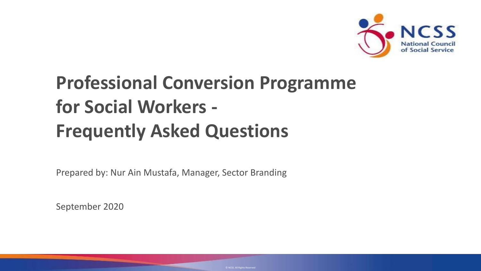

# **Professional Conversion Programme for Social Workers - Frequently Asked Questions**

Prepared by: Nur Ain Mustafa, Manager, Sector Branding

September 2020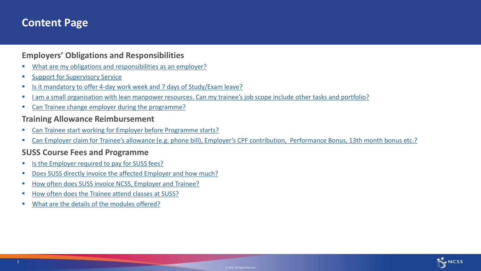#### **Content Page**

#### **Employers' Obligations and Responsibilities**

- What are my obligations and responsibilities as an employer?
- [Support for Supervisory Service](#page-4-0)
- [Is it mandatory to offer 4-day work week and 7 days of Study/Exam leave?](#page-6-0)
- I am a small organisation [with lean manpower resources. Can my trainee's job scope include other tasks and portfolio?](#page-7-0)
- [Can Trainee change employer during the programme?](#page-8-0)

#### **Training Allowance Reimbursement**

- [Can Trainee start working for Employer before Programme](#page-9-0) starts?
- [Can Employer claim for Trainee's allowance \(e.g. phone bill\), Employer's CPF contribution, Performance Bonus, 13th month bon](#page-10-0)us etc.?

#### **SUSS Course Fees and Programme**

- [Is the Employer required to pay for SUSS fees?](#page-11-0)
- [Does SUSS directly invoice the affected Employer and how much?](#page-12-0)
- [How often does SUSS invoice NCSS, Employer and Trainee?](#page-13-0)
- [How often does the Trainee attend classes at SUSS?](#page-14-0)
- [What are the details of the modules offered?](#page-15-0)

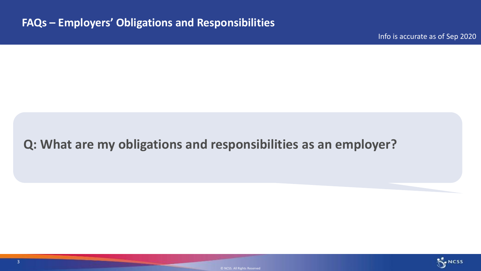Info is accurate as of Sep 2020

### <span id="page-2-0"></span>**Q: What are my obligations and responsibilities as an employer?**



© NCSS. All Rights Reserved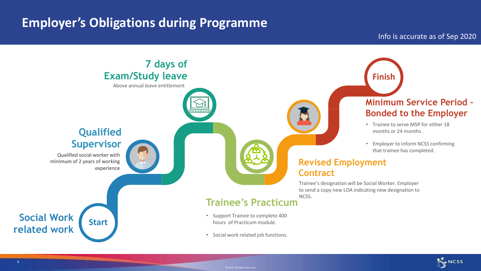### **Employer's Obligations during Programme**



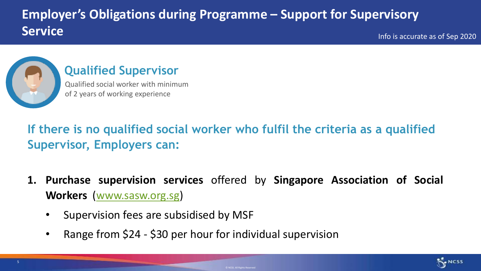# <span id="page-4-0"></span>**Employer's Obligations during Programme – Support for Supervisory Service**

Info is accurate as of Sep 2020



#### **Qualified Supervisor**

Qualified social worker with minimum of 2 years of working experience

# **If there is no qualified social worker who fulfil the criteria as a qualified Supervisor, Employers can:**

- **1. Purchase supervision services** offered by **Singapore Association of Social Workers** ([www.sasw.org.sg\)](http://www.sasw.org.sg/)
	- Supervision fees are subsidised by MSF
	- Range from \$24 \$30 per hour for individual supervision

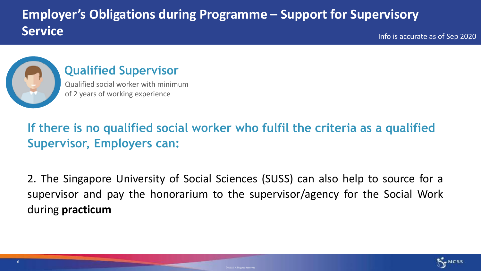# **Employer's Obligations during Programme – Support for Supervisory Service**

Info is accurate as of Sep 2020



#### **Qualified Supervisor**

Qualified social worker with minimum of 2 years of working experience

# **If there is no qualified social worker who fulfil the criteria as a qualified Supervisor, Employers can:**

2. The Singapore University of Social Sciences (SUSS) can also help to source for a supervisor and pay the honorarium to the supervisor/agency for the Social Work during **practicum**

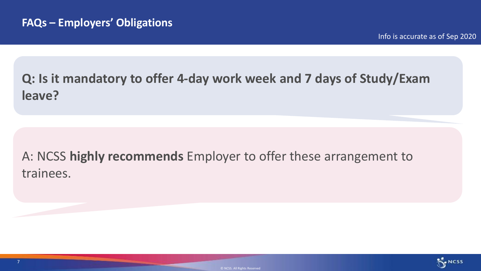# <span id="page-6-0"></span>**Q: Is it mandatory to offer 4-day work week and 7 days of Study/Exam leave?**

# A: NCSS **highly recommends** Employer to offer these arrangement to trainees.

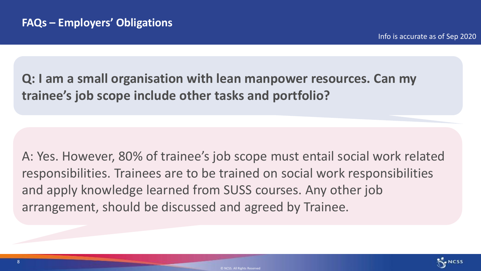<span id="page-7-0"></span>**Q: I am a small organisation with lean manpower resources. Can my trainee's job scope include other tasks and portfolio?**

A: Yes. However, 80% of trainee's job scope must entail social work related responsibilities. Trainees are to be trained on social work responsibilities and apply knowledge learned from SUSS courses. Any other job arrangement, should be discussed and agreed by Trainee.

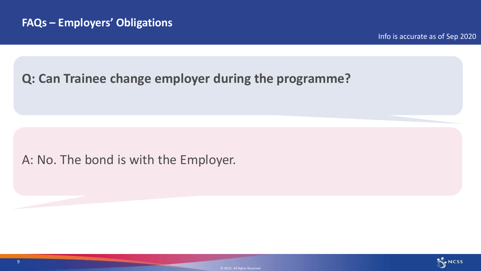#### <span id="page-8-0"></span>**Q: Can Trainee change employer during the programme?**

#### A: No. The bond is with the Employer.

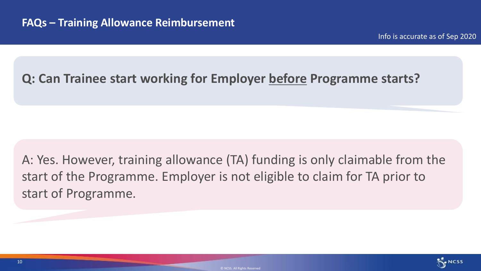#### <span id="page-9-0"></span>**Q: Can Trainee start working for Employer before Programme starts?**

# A: Yes. However, training allowance (TA) funding is only claimable from the start of the Programme. Employer is not eligible to claim for TA prior to start of Programme.

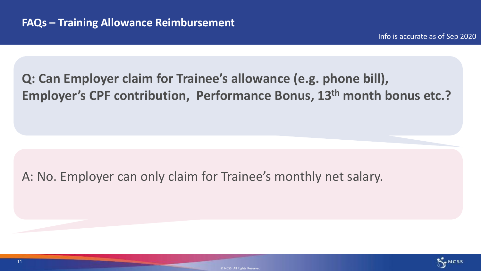# <span id="page-10-0"></span>**Q: Can Employer claim for Trainee's allowance (e.g. phone bill), Employer's CPF contribution, Performance Bonus, 13th month bonus etc.?**

#### A: No. Employer can only claim for Trainee's monthly net salary.

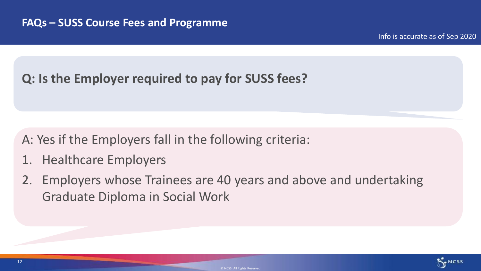### <span id="page-11-0"></span>**Q: Is the Employer required to pay for SUSS fees?**

### A: Yes if the Employers fall in the following criteria:

- 1. Healthcare Employers
- 2. Employers whose Trainees are 40 years and above and undertaking Graduate Diploma in Social Work

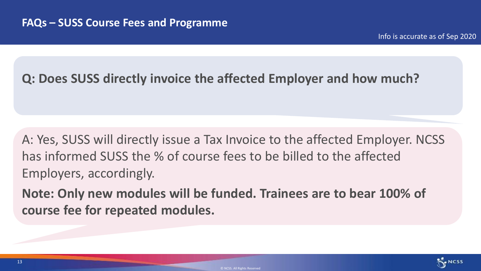#### <span id="page-12-0"></span>**Q: Does SUSS directly invoice the affected Employer and how much?**

A: Yes, SUSS will directly issue a Tax Invoice to the affected Employer. NCSS has informed SUSS the % of course fees to be billed to the affected Employers, accordingly.

**Note: Only new modules will be funded. Trainees are to bear 100% of course fee for repeated modules.** 

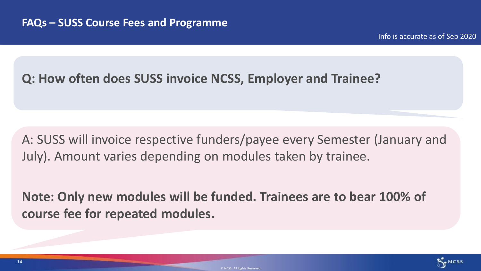#### <span id="page-13-0"></span>**Q: How often does SUSS invoice NCSS, Employer and Trainee?**

A: SUSS will invoice respective funders/payee every Semester (January and July). Amount varies depending on modules taken by trainee.

**Note: Only new modules will be funded. Trainees are to bear 100% of course fee for repeated modules.** 

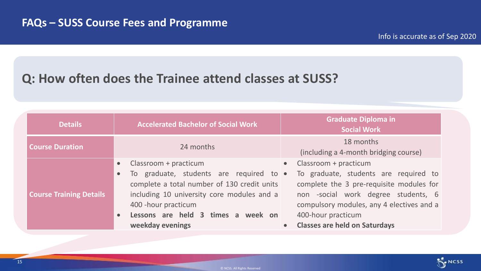#### <span id="page-14-0"></span>**Q: How often does the Trainee attend classes at SUSS?**

| <b>Details</b>                 | <b>Accelerated Bachelor of Social Work</b>                                                                                                                                                                                                                                             | <b>Graduate Diploma in</b><br><b>Social Work</b>                                                                                                                                                                                                             |
|--------------------------------|----------------------------------------------------------------------------------------------------------------------------------------------------------------------------------------------------------------------------------------------------------------------------------------|--------------------------------------------------------------------------------------------------------------------------------------------------------------------------------------------------------------------------------------------------------------|
| <b>Course Duration</b>         | 24 months                                                                                                                                                                                                                                                                              | 18 months<br>(including a 4-month bridging course)                                                                                                                                                                                                           |
| <b>Course Training Details</b> | Classroom + practicum<br>$\bullet$<br>To graduate, students are required to .<br>$\bullet$<br>complete a total number of 130 credit units<br>including 10 university core modules and a<br>400 - hour practicum<br>Lessons are held 3 times a week on<br>$\bullet$<br>weekday evenings | Classroom + practicum<br>To graduate, students are required to<br>complete the 3 pre-requisite modules for<br>non -social work degree students, 6<br>compulsory modules, any 4 electives and a<br>400-hour practicum<br><b>Classes are held on Saturdays</b> |

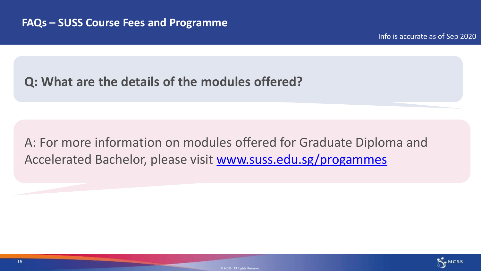#### <span id="page-15-0"></span>**Q: What are the details of the modules offered?**

A: For more information on modules offered for Graduate Diploma and Accelerated Bachelor, please visit [www.suss.edu.sg/progammes](http://www.suss.edu.sg/progammes)

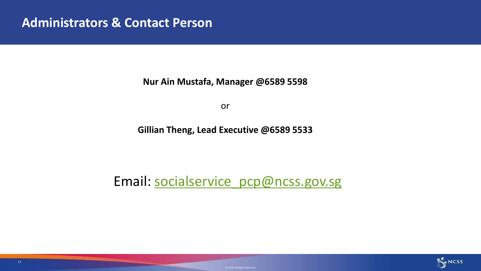**Nur Ain Mustafa, Manager @6589 5598** 

or

**Gillian Theng, Lead Executive @6589 5533**

Email: [socialservice\\_pcp@ncss.gov.sg](mailto:socialservice_pcp@ncss.gov.sg)